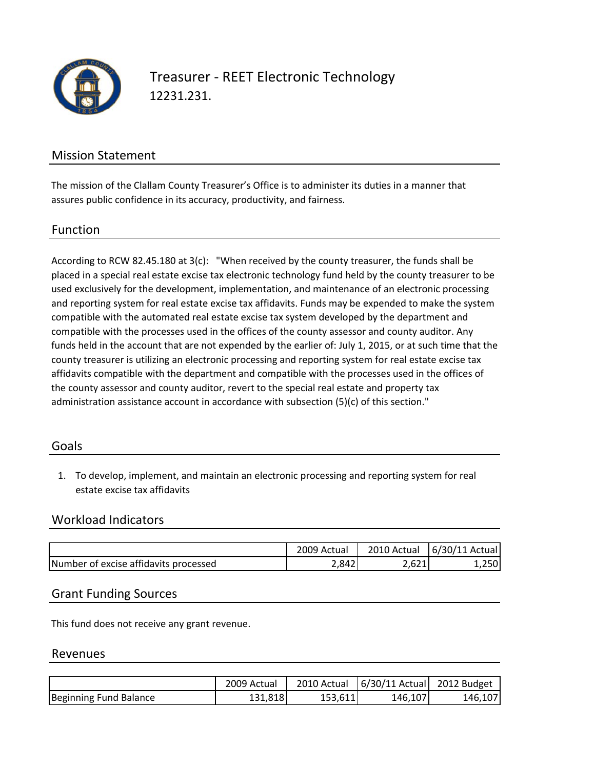

Treasurer ‐ REET Electronic Technology 12231.231.

# Mission Statement

The mission of the Clallam County Treasurer's Office is to administer its duties in a manner that assures public confidence in its accuracy, productivity, and fairness.

#### Function

According to RCW 82.45.180 at 3(c): "When received by the county treasurer, the funds shall be placed in a special real estate excise tax electronic technology fund held by the county treasurer to be used exclusively for the development, implementation, and maintenance of an electronic processing and reporting system for real estate excise tax affidavits. Funds may be expended to make the system compatible with the automated real estate excise tax system developed by the department and compatible with the processes used in the offices of the county assessor and county auditor. Any funds held in the account that are not expended by the earlier of: July 1, 2015, or at such time that the county treasurer is utilizing an electronic processing and reporting system for real estate excise tax affidavits compatible with the department and compatible with the processes used in the offices of the county assessor and county auditor, revert to the special real estate and property tax administration assistance account in accordance with subsection (5)(c) of this section."

#### Goals

1. To develop, implement, and maintain an electronic processing and reporting system for real estate excise tax affidavits

# Workload Indicators

|                                       | 2009 Actual           | 2010 Actual | 6/30/11 Actual |
|---------------------------------------|-----------------------|-------------|----------------|
| Number of excise affidavits processed | $1.84^\circ$<br>2.072 | 2.621       | 250            |

### Grant Funding Sources

This fund does not receive any grant revenue.

#### Revenues

|                        | 2009 Actual | 2010 Actual | 6/30/11 Actual 2012 Budget |         |
|------------------------|-------------|-------------|----------------------------|---------|
| Beginning Fund Balance | 131,818     | 153.611     | 146,107                    | 146,107 |